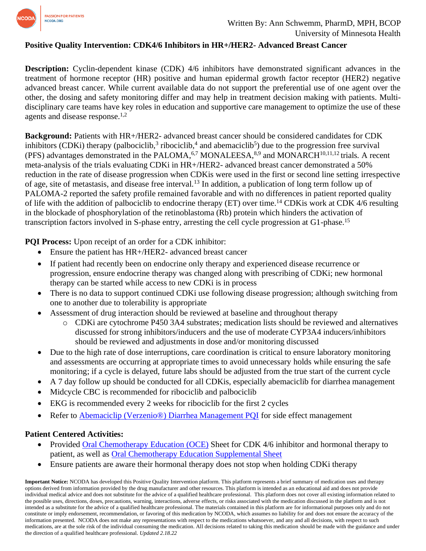

## **Positive Quality Intervention: CDK4/6 Inhibitors in HR+/HER2- Advanced Breast Cancer**

**Description:** Cyclin-dependent kinase (CDK) 4/6 inhibitors have demonstrated significant advances in the treatment of hormone receptor (HR) positive and human epidermal growth factor receptor (HER2) negative advanced breast cancer. While current available data do not support the preferential use of one agent over the other, the dosing and safety monitoring differ and may help in treatment decision making with patients. Multidisciplinary care teams have key roles in education and supportive care management to optimize the use of these agents and disease response.1,2

**Background:** Patients with HR+/HER2- advanced breast cancer should be considered candidates for CDK inhibitors (CDKi) therapy (palbociclib,<sup>3</sup> ribociclib,<sup>4</sup> and abemaciclib<sup>5</sup>) due to the progression free survival (PFS) advantages demonstrated in the PALOMA, <sup>6,7</sup> MONALEESA, <sup>8,9</sup> and MONARCH<sup>10,11,12</sup> trials. A recent meta-analysis of the trials evaluating CDKi in HR+/HER2- advanced breast cancer demonstrated a 50% reduction in the rate of disease progression when CDKis were used in the first or second line setting irrespective of age, site of metastasis, and disease free interval.<sup>13</sup> In addition, a publication of long term follow up of PALOMA-2 reported the safety profile remained favorable and with no differences in patient reported quality of life with the addition of palbociclib to endocrine therapy (ET) over time.<sup>14</sup> CDKis work at CDK 4/6 resulting in the blockade of phosphorylation of the retinoblastoma (Rb) protein which hinders the activation of transcription factors involved in S-phase entry, arresting the cell cycle progression at G1-phase. 15

**PQI Process:** Upon receipt of an order for a CDK inhibitor:

- Ensure the patient has HR+/HER2- advanced breast cancer
- If patient had recently been on endocrine only therapy and experienced disease recurrence or progression, ensure endocrine therapy was changed along with prescribing of CDKi; new hormonal therapy can be started while access to new CDKi is in process
- There is no data to support continued CDKi use following disease progression; although switching from one to another due to tolerability is appropriate
- Assessment of drug interaction should be reviewed at baseline and throughout therapy
	- o CDKi are cytochrome P450 3A4 substrates; medication lists should be reviewed and alternatives discussed for strong inhibitors/inducers and the use of moderate CYP3A4 inducers/inhibitors should be reviewed and adjustments in dose and/or monitoring discussed
- Due to the high rate of dose interruptions, care coordination is critical to ensure laboratory monitoring and assessments are occurring at appropriate times to avoid unnecessary holds while ensuring the safe monitoring; if a cycle is delayed, future labs should be adjusted from the true start of the current cycle
- A 7 day follow up should be conducted for all CDKis, especially abemaciclib for diarrhea management
- Midcycle CBC is recommended for ribociclib and palbociclib
- EKG is recommended every 2 weeks for ribociclib for the first 2 cycles
- Refer to [Abemaciclip \(Verzenio®\) Diarrhea Management PQI](https://www.ncoda.org/wp-content/uploads/pqis/Management-of-Abemaciclib-Verzenio-Associated-Diarrhea_PQI_NCODA.pdf) for side effect management

## **Patient Centered Activities:**

- Provided Oral [Chemotherapy Education \(OCE\)](https://www.oralchemoedsheets.com/) Sheet for CDK 4/6 inhibitor and hormonal therapy to patient, as well as [Oral Chemotherapy Education Supplemental Sheet](https://www.oralchemoedsheets.com/index.php/supplement-library/27-supplemental-available/497-diarrhea)
- Ensure patients are aware their hormonal therapy does not stop when holding CDKi therapy

**Important Notice:** NCODA has developed this Positive Quality Intervention platform. This platform represents a brief summary of medication uses and therapy options derived from information provided by the drug manufacturer and other resources. This platform is intended as an educational aid and does not provide individual medical advice and does not substitute for the advice of a qualified healthcare professional. This platform does not cover all existing information related to the possible uses, directions, doses, precautions, warning, interactions, adverse effects, or risks associated with the medication discussed in the platform and is not intended as a substitute for the advice of a qualified healthcare professional. The materials contained in this platform are for informational purposes only and do not constitute or imply endorsement, recommendation, or favoring of this medication by NCODA, which assumes no liability for and does not ensure the accuracy of the information presented. NCODA does not make any representations with respect to the medications whatsoever, and any and all decisions, with respect to such medications, are at the sole risk of the individual consuming the medication. All decisions related to taking this medication should be made with the guidance and under the direction of a qualified healthcare professional. *Updated 2.18.22*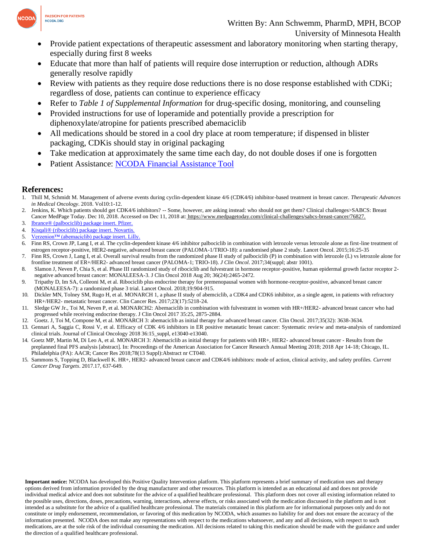

- Provide patient expectations of therapeutic assessment and laboratory monitoring when starting therapy, especially during first 8 weeks
- Educate that more than half of patients will require dose interruption or reduction, although ADRs generally resolve rapidly
- Review with patients as they require dose reductions there is no dose response established with CDKi; regardless of dose, patients can continue to experience efficacy
- Refer to *Table 1 of Supplemental Information* for drug-specific dosing, monitoring, and counseling
- Provided instructions for use of loperamide and potentially provide a prescription for diphenoxylate/atropine for patients prescribed abemaciclib
- All medications should be stored in a cool dry place at room temperature; if dispensed in blister packaging, CDKis should stay in original packaging
- Take medication at approximately the same time each day, do not double doses if one is forgotten
- Patient Assistance: [NCODA Financial Assistance Tool](https://www.ncoda.org/financial-assistance/)

## **References:**

- 1. Thill M, Schmidt M. Management of adverse events during cyclin-dependent kinase 4/6 (CDK4/6) inhibitor-based treatment in breast cancer. *Therapeutic Advances in Medical Oncology*. 2018. Vol10:1-12.
- 2. Jenkins, K. Which patients should get CDK4/6 inhibitors? -- Some, however, are asking instead: who should not get them? Clinical challenges>SABCS: Breast Cancer MedPage Today. Dec 10, 2018. Accessed on Dec 11, 2018 at: [https://www.medpagetoday.com/clinical-challenges/sabcs-breast-cancer/76827.](https://www.medpagetoday.com/clinical-challenges/sabcs-breast-cancer/76827)
- 3. [Ibrance® \(palbociclib\) package insert. Pfizer.](https://www.accessdata.fda.gov/drugsatfda_docs/label/2019/212436lbl.pdf)
- 4. [Kisqali® \(ribociclib\) package insert. Novartis.](https://www.accessdata.fda.gov/drugsatfda_docs/label/2020/209092s003lbl.pdf)
- 5. Verzenion<sup>™</sup> (abemaciclib) package insert. Lilly.
- 6. Finn RS, Crown JP, Lang I, et al. The cyclin-dependent kinase 4/6 inhibitor palbociclib in combination with letrozole versus letrozole alone as first-line treatment of estrogen receptor-positive, HER2-negative, advanced breast cancer (PALOMA-1/TRIO-18): a randomised phase 2 study. Lancet Oncol. 2015;16:25-35
- 7. Finn RS, Crown J, Lang I, et al. Overall survival results from the randomized phase II study of palbociclib (P) in combination with letrozole (L) vs letrozole alone for frontline treatment of ER+/HER2- advanced breast cancer (PALOMA-1; TRIO-18). *J Clin Oncol*. 2017;34(suppl; abstr 1001).
- 8. Slamon J, Neven P, Chia S, et al. Phase III randomized study of ribociclib and fulvestrant in hormone receptor-positive, human epidermal growth factor receptor 2negative advanced breast cancer: MONALEESA-3. J Clin Oncol 2018 Aug 20; 36(24):2465-2472.
- 9. Tripathy D, Im SA, Colleoni M, et al. Ribociclib plus endocrine therapy for premenopausal women with hormone-receptor-positive, advanced breast cancer (MONALEESA-7): a randomized phase 3 trial. Lancet Oncol. 2018;19:904-915.
- 10. Dickler MN, Tolney SM, Rugo H, et al. MONARCH 1, a phase II study of abemciclib, a CDK4 and CDK6 inhibitor, as a single agent, in patients with refractory HR+/HER2- metastatic breast cancer. Clin Cancer Res. 2017;23(17):5218-24.
- 11. Sledge GW Jr., Toi M, Neven P, et al. MONARCH2: Abemaciclib in combination with fulvestratnt in women with HR+/HER2- advanced breast cancer who had progressed while receiving endocrine therapy. J Clin Oncol 2017 35:25, 2875-2884.
- 12. Goetz. J, Toi M, Compone M, et al. MONARCH 3: abemaciclib as initial therapy for advanced breast cancer. Clin Oncol. 2017;35(32): 3638-3634.
- 13. Gennari A, Saggia C, Rossi V, et al. Efficacy of CDK 4/6 inhibitors in ER positive metastatic breast cancer: Systematic review and meta-analysis of randomized clinical trials. Journal of Clinical Oncology 2018 36:15\_suppl, e13040-e13040.
- 14. Goetz MP, Martin M, Di Leo A, et al. MONARCH 3: Abemaciclib as initial therapy for patients with HR+, HER2- advanced breast cancer Results from the preplanned final PFS analysis [abstract]. In: Proceedings of the American Association for Cancer Research Annual Meeting 2018; 2018 Apr 14-18; Chicago, IL. Philadelphia (PA): AACR; Cancer Res 2018;78(13 Suppl):Abstract nr CT040.
- 15. Sammons S, Topping D, Blackwell K. HR+, HER2- advanced breast cancer and CDK4/6 inhibitors: mode of action, clinical activity, and safety profiles. *Current Cancer Drug Targets*. 2017.17, 637-649.

**Important notice:** NCODA has developed this Positive Quality Intervention platform. This platform represents a brief summary of medication uses and therapy options derived from information provided by the drug manufacturer and other resources. This platform is intended as an educational aid and does not provide individual medical advice and does not substitute for the advice of a qualified healthcare professional. This platform does not cover all existing information related to the possible uses, directions, doses, precautions, warning, interactions, adverse effects, or risks associated with the medication discussed in the platform and is not intended as a substitute for the advice of a qualified healthcare professional. The materials contained in this platform are for informational purposes only and do not constitute or imply endorsement, recommendation, or favoring of this medication by NCODA, which assumes no liability for and does not ensure the accuracy of the information presented. NCODA does not make any representations with respect to the medications whatsoever, and any and all decisions, with respect to such medications, are at the sole risk of the individual consuming the medication. All decisions related to taking this medication should be made with the guidance and under the direction of a qualified healthcare professional.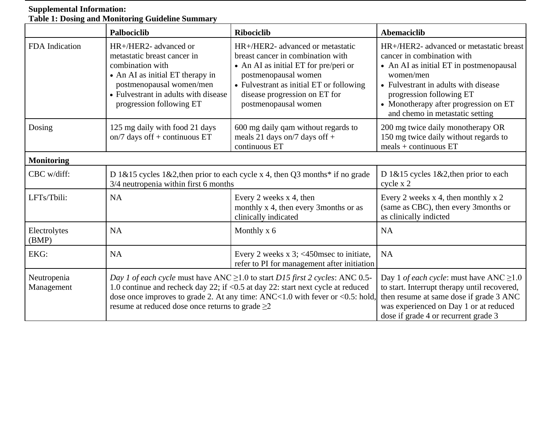## **Supplemental Information: Table 1: Dosing and Monitoring Guideline Summary**

|                           | Palbociclib                                                                                                                                                                                                                                                                                                     | <b>Ribociclib</b>                                                                                                                                                                                                                           | <b>Abemaciclib</b>                                                                                                                                                                                                                                                            |
|---------------------------|-----------------------------------------------------------------------------------------------------------------------------------------------------------------------------------------------------------------------------------------------------------------------------------------------------------------|---------------------------------------------------------------------------------------------------------------------------------------------------------------------------------------------------------------------------------------------|-------------------------------------------------------------------------------------------------------------------------------------------------------------------------------------------------------------------------------------------------------------------------------|
| FDA Indication            | HR+/HER2- advanced or<br>metastatic breast cancer in<br>combination with<br>• An AI as initial ET therapy in<br>postmenopausal women/men<br>• Fulvestrant in adults with disease<br>progression following ET                                                                                                    | HR+/HER2- advanced or metastatic<br>breast cancer in combination with<br>• An AI as initial ET for pre/peri or<br>postmenopausal women<br>• Fulvestrant as initial ET or following<br>disease progression on ET for<br>postmenopausal women | HR+/HER2- advanced or metastatic breast<br>cancer in combination with<br>• An AI as initial ET in postmenopausal<br>women/men<br>• Fulvestrant in adults with disease<br>progression following ET<br>• Monotherapy after progression on ET<br>and chemo in metastatic setting |
| Dosing                    | 125 mg daily with food 21 days<br>on/7 days off $+$ continuous ET                                                                                                                                                                                                                                               | 600 mg daily qam without regards to<br>meals 21 days on/7 days off +<br>continuous ET                                                                                                                                                       | 200 mg twice daily monotherapy OR<br>150 mg twice daily without regards to<br>$meals + continuous ET$                                                                                                                                                                         |
| <b>Monitoring</b>         |                                                                                                                                                                                                                                                                                                                 |                                                                                                                                                                                                                                             |                                                                                                                                                                                                                                                                               |
| CBC w/diff:               | D 1&15 cycles 1&2, then prior to each cycle x 4, then Q3 months* if no grade<br>3/4 neutropenia within first 6 months                                                                                                                                                                                           |                                                                                                                                                                                                                                             | D $1\&15$ cycles $1\&2$ , then prior to each<br>cycle x 2                                                                                                                                                                                                                     |
| LFTs/Tbili:               | <b>NA</b>                                                                                                                                                                                                                                                                                                       | Every 2 weeks x 4, then<br>monthly x 4, then every 3months or as<br>clinically indicated                                                                                                                                                    | Every 2 weeks $x$ 4, then monthly $x$ 2<br>(same as CBC), then every 3months or<br>as clinically indicted                                                                                                                                                                     |
| Electrolytes<br>(BMP)     | <b>NA</b>                                                                                                                                                                                                                                                                                                       | Monthly $x$ 6                                                                                                                                                                                                                               | <b>NA</b>                                                                                                                                                                                                                                                                     |
| EKG:                      | <b>NA</b>                                                                                                                                                                                                                                                                                                       | Every 2 weeks $x$ 3; <450 msec to initiate,<br>refer to PI for management after initiation                                                                                                                                                  | <b>NA</b>                                                                                                                                                                                                                                                                     |
| Neutropenia<br>Management | Day 1 of each cycle must have ANC $\geq$ 1.0 to start D15 first 2 cycles: ANC 0.5-<br>1.0 continue and recheck day 22; if <0.5 at day 22: start next cycle at reduced<br>dose once improves to grade 2. At any time: ANC<1.0 with fever or <0.5: hold,<br>resume at reduced dose once returns to grade $\geq$ 2 |                                                                                                                                                                                                                                             | Day 1 of each cycle: must have ANC $\geq$ 1.0<br>to start. Interrupt therapy until recovered,<br>then resume at same dose if grade 3 ANC<br>was experienced on Day 1 or at reduced<br>dose if grade 4 or recurrent grade 3                                                    |